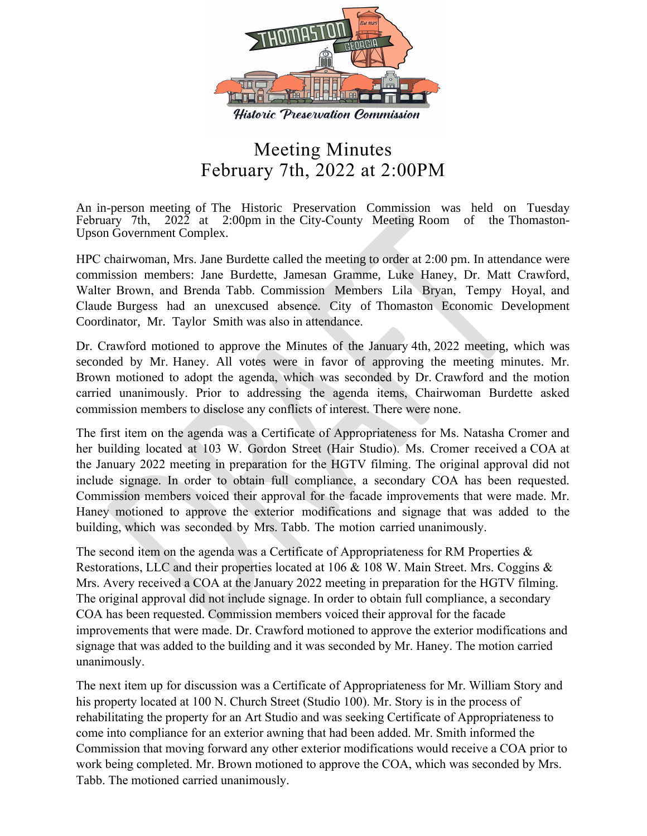

## Meeting Minutes February 7th, 2022 at 2:00PM

An in-person meeting of The Historic Preservation Commission was held on Tuesday February 7th, 2022 at 2:00pm in the City-County Meeting Room of the Thomaston-Upson Government Complex.

HPC chairwoman, Mrs. Jane Burdette called the meeting to order at 2:00 pm. In attendance were commission members: Jane Burdette, Jamesan Gramme, Luke Haney, Dr. Matt Crawford, Walter Brown, and Brenda Tabb. Commission Members Lila Bryan, Tempy Hoyal, and Claude Burgess had an unexcused absence. City of Thomaston Economic Development Coordinator, Mr. Taylor Smith was also in attendance.

Dr. Crawford motioned to approve the Minutes of the January 4th, 2022 meeting, which was seconded by Mr. Haney. All votes were in favor of approving the meeting minutes. Mr. Brown motioned to adopt the agenda, which was seconded by Dr. Crawford and the motion carried unanimously. Prior to addressing the agenda items, Chairwoman Burdette asked commission members to disclose any conflicts of interest. There were none.

The first item on the agenda was a Certificate of Appropriateness for Ms. Natasha Cromer and her building located at 103 W. Gordon Street (Hair Studio). Ms. Cromer received a COA at the January 2022 meeting in preparation for the HGTV filming. The original approval did not include signage. In order to obtain full compliance, a secondary COA has been requested. Commission members voiced their approval for the facade improvements that were made. Mr. Haney motioned to approve the exterior modifications and signage that was added to the building, which was seconded by Mrs. Tabb. The motion carried unanimously.

The second item on the agenda was a Certificate of Appropriateness for RM Properties & Restorations, LLC and their properties located at 106 & 108 W. Main Street. Mrs. Coggins & Mrs. Avery received a COA at the January 2022 meeting in preparation for the HGTV filming. The original approval did not include signage. In order to obtain full compliance, a secondary COA has been requested. Commission members voiced their approval for the facade improvements that were made. Dr. Crawford motioned to approve the exterior modifications and signage that was added to the building and it was seconded by Mr. Haney. The motion carried unanimously.

The next item up for discussion was a Certificate of Appropriateness for Mr. William Story and his property located at 100 N. Church Street (Studio 100). Mr. Story is in the process of rehabilitating the property for an Art Studio and was seeking Certificate of Appropriateness to come into compliance for an exterior awning that had been added. Mr. Smith informed the Commission that moving forward any other exterior modifications would receive a COA prior to work being completed. Mr. Brown motioned to approve the COA, which was seconded by Mrs. Tabb. The motioned carried unanimously.